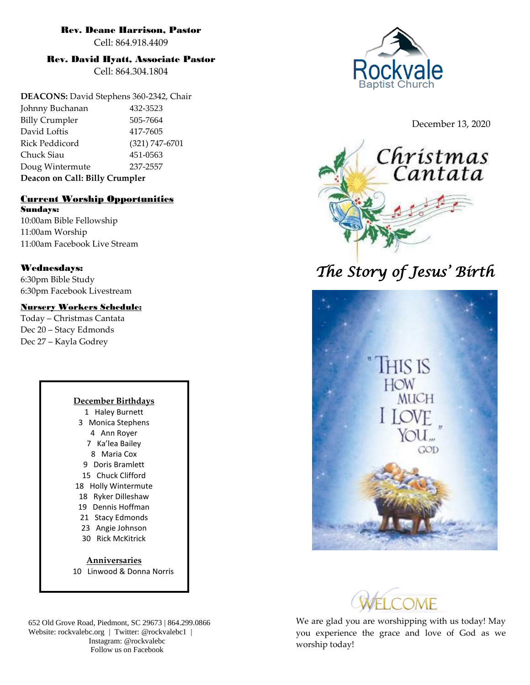## Rev. Deane Harrison, Pastor

Cell: 864.918.4409

## Rev. David Hyatt, Associate Pastor

Cell: 864.304.1804

**DEACONS:** David Stephens 360-2342, Chair Johnny Buchanan 432-3523 Billy Crumpler 505-7664 David Loftis 417-7605 Rick Peddicord (321) 747-6701 Chuck Siau 451-0563 Doug Wintermute 237-2557 **Deacon on Call: Billy Crumpler**

#### Current Worship Opportunities Sundays:

10:00am Bible Fellowship 11:00am Worship 11:00am Facebook Live Stream

## Wednesdays:

6:30pm Bible Study 6:30pm Facebook Livestream

## Nursery Workers Schedule:

Today – Christmas Cantata Dec 20 – Stacy Edmonds Dec 27 – Kayla Godrey

#### **December Birthdays** 1 Haley Burnett

3 Monica Stephens 4 Ann Royer 7 Ka'lea Bailey 8 Maria Cox 9 Doris Bramlett 15 Chuck Clifford 18 Holly Wintermute 18 Ryker Dilleshaw 19 Dennis Hoffman 21 Stacy Edmonds 23 Angie Johnson 30 Rick McKitrick **Anniversaries**

10 Linwood & Donna Norris

652 Old Grove Road, Piedmont, SC 29673 | 864.299.0866 Website: rockvalebc.org *|* Twitter: @rockvalebc1 | Instagram: @rockvalebc Follow us on Facebook



December 13, 2020



# *The Story of Jesus' Birth*





We are glad you are worshipping with us today! May you experience the grace and love of God as we worship today!